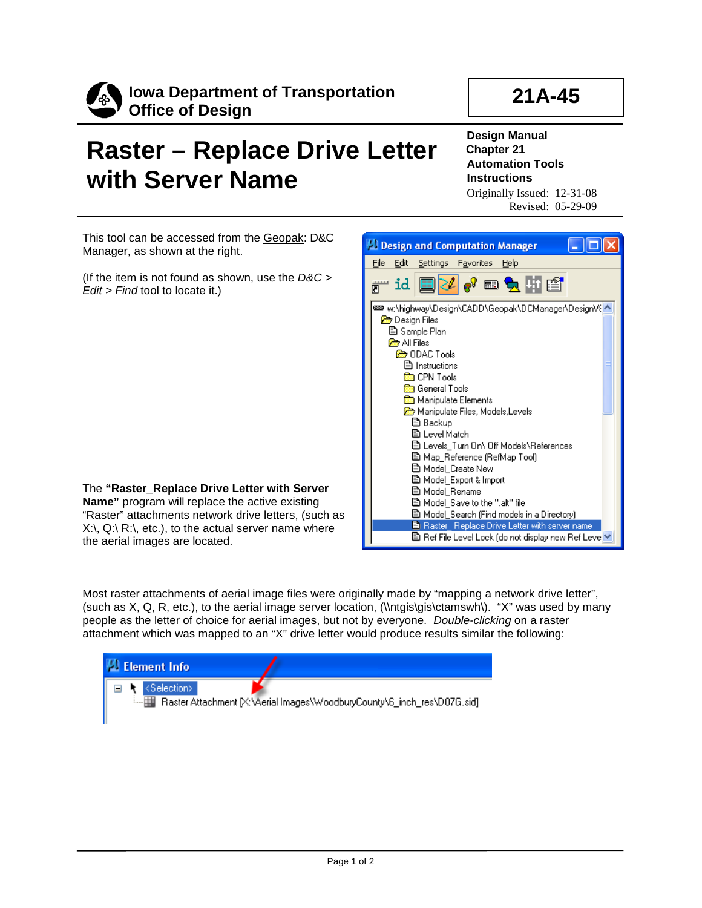

## **21A-45**

## **Raster – Replace Drive Letter with Server Name**

**Design Manual Chapter 21 Automation Tools Instructions** Originally Issued: 12-31-08 Revised: 05-29-09

This tool can be accessed from the Geopak: D&C Manager, as shown at the right.

(If the item is not found as shown, use the *D&C > Edit > Find* tool to locate it.)

| The "Raster_Replace Drive Letter with Server                                  |
|-------------------------------------------------------------------------------|
| <b>Name"</b> program will replace the active existing                         |
| "Raster" attachments network drive letters, (such as                          |
| $X\setminus Q\setminus R\setminus R$ , etc.), to the actual server name where |
| the aerial images are located.                                                |



Most raster attachments of aerial image files were originally made by "mapping a network drive letter", (such as X, Q, R, etc.), to the aerial image server location, ( $\theta$ s) ( $\theta$ is $\theta$ tamswh $\theta$ ). "X" was used by many people as the letter of choice for aerial images, but not by everyone. *Double-clicking* on a raster attachment which was mapped to an "X" drive letter would produce results similar the following: